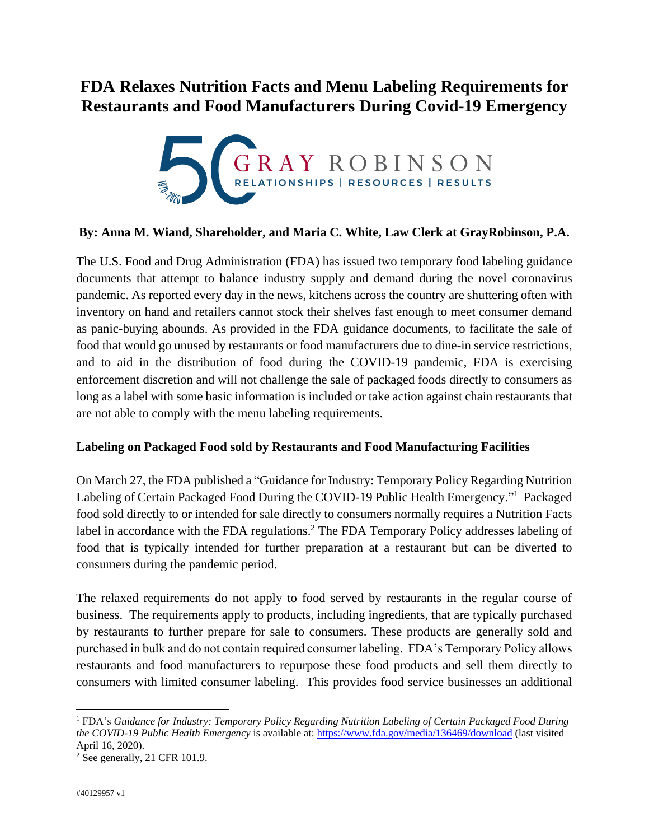## **FDA Relaxes Nutrition Facts and Menu Labeling Requirements for Restaurants and Food Manufacturers During Covid-19 Emergency**



## **By: Anna M. Wiand, Shareholder, and Maria C. White, Law Clerk at GrayRobinson, P.A.**

The U.S. Food and Drug Administration (FDA) has issued two temporary food labeling guidance documents that attempt to balance industry supply and demand during the novel coronavirus pandemic. As reported every day in the news, kitchens across the country are shuttering often with inventory on hand and retailers cannot stock their shelves fast enough to meet consumer demand as panic-buying abounds. As provided in the FDA guidance documents, to facilitate the sale of food that would go unused by restaurants or food manufacturers due to dine-in service restrictions, and to aid in the distribution of food during the COVID-19 pandemic, FDA is exercising enforcement discretion and will not challenge the sale of packaged foods directly to consumers as long as a label with some basic information is included or take action against chain restaurants that are not able to comply with the menu labeling requirements.

## **Labeling on Packaged Food sold by Restaurants and Food Manufacturing Facilities**

On March 27, the FDA published a "Guidance for Industry: Temporary Policy Regarding Nutrition Labeling of Certain Packaged Food During the COVID-19 Public Health Emergency."<sup>1</sup> Packaged food sold directly to or intended for sale directly to consumers normally requires a Nutrition Facts label in accordance with the FDA regulations.<sup>2</sup> The FDA Temporary Policy addresses labeling of food that is typically intended for further preparation at a restaurant but can be diverted to consumers during the pandemic period.

The relaxed requirements do not apply to food served by restaurants in the regular course of business. The requirements apply to products, including ingredients, that are typically purchased by restaurants to further prepare for sale to consumers. These products are generally sold and purchased in bulk and do not contain required consumer labeling. FDA's Temporary Policy allows restaurants and food manufacturers to repurpose these food products and sell them directly to consumers with limited consumer labeling. This provides food service businesses an additional

 $\overline{a}$ 

<sup>1</sup> FDA's *Guidance for Industry: Temporary Policy Regarding Nutrition Labeling of Certain Packaged Food During the COVID-19 Public Health Emergency* is available at:<https://www.fda.gov/media/136469/download> (last visited April 16, 2020).

<sup>2</sup> See generally, 21 CFR 101.9.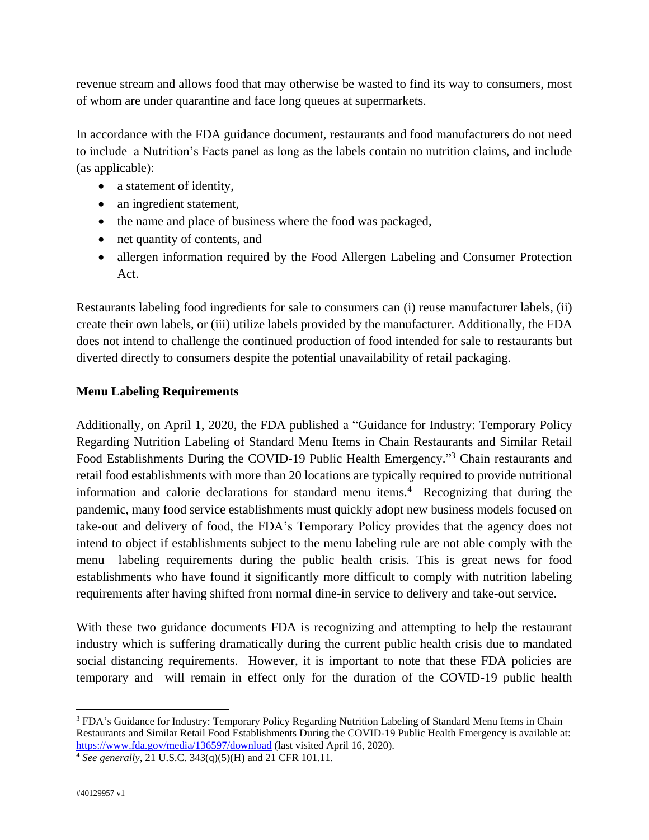revenue stream and allows food that may otherwise be wasted to find its way to consumers, most of whom are under quarantine and face long queues at supermarkets.

In accordance with the FDA guidance document, restaurants and food manufacturers do not need to include a Nutrition's Facts panel as long as the labels contain no nutrition claims, and include (as applicable):

- a statement of identity,
- an ingredient statement,
- the name and place of business where the food was packaged,
- net quantity of contents, and
- allergen information required by the Food Allergen Labeling and Consumer Protection Act.

Restaurants labeling food ingredients for sale to consumers can (i) reuse manufacturer labels, (ii) create their own labels, or (iii) utilize labels provided by the manufacturer. Additionally, the FDA does not intend to challenge the continued production of food intended for sale to restaurants but diverted directly to consumers despite the potential unavailability of retail packaging.

## **Menu Labeling Requirements**

Additionally, on April 1, 2020, the FDA published a "Guidance for Industry: Temporary Policy Regarding Nutrition Labeling of Standard Menu Items in Chain Restaurants and Similar Retail Food Establishments During the COVID-19 Public Health Emergency."<sup>3</sup> Chain restaurants and retail food establishments with more than 20 locations are typically required to provide nutritional information and calorie declarations for standard menu items.<sup>4</sup> Recognizing that during the pandemic, many food service establishments must quickly adopt new business models focused on take-out and delivery of food, the FDA's Temporary Policy provides that the agency does not intend to object if establishments subject to the menu labeling rule are not able comply with the menu labeling requirements during the public health crisis. This is great news for food establishments who have found it significantly more difficult to comply with nutrition labeling requirements after having shifted from normal dine-in service to delivery and take-out service.

With these two guidance documents FDA is recognizing and attempting to help the restaurant industry which is suffering dramatically during the current public health crisis due to mandated social distancing requirements. However, it is important to note that these FDA policies are temporary and will remain in effect only for the duration of the COVID-19 public health

 $\overline{a}$ 

<sup>3</sup> FDA's Guidance for Industry: Temporary Policy Regarding Nutrition Labeling of Standard Menu Items in Chain Restaurants and Similar Retail Food Establishments During the COVID-19 Public Health Emergency is available at: <https://www.fda.gov/media/136597/download> (last visited April 16, 2020).

<sup>4</sup> *See generally*, 21 U.S.C. 343(q)(5)(H) and 21 CFR 101.11.